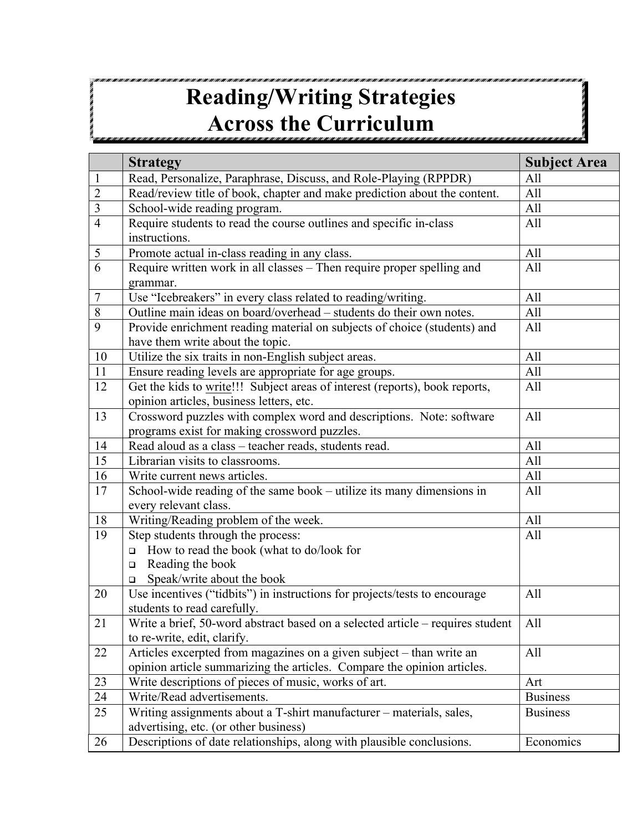## **Reading/Writing Strategies Across the Curriculum**

|                | <b>Strategy</b>                                                                | <b>Subject Area</b> |
|----------------|--------------------------------------------------------------------------------|---------------------|
| $\mathbf{1}$   | Read, Personalize, Paraphrase, Discuss, and Role-Playing (RPPDR)               | All                 |
| $\overline{2}$ | Read/review title of book, chapter and make prediction about the content.      | All                 |
| $\overline{3}$ | School-wide reading program.                                                   | All                 |
| $\overline{4}$ | Require students to read the course outlines and specific in-class             | All                 |
|                | instructions.                                                                  |                     |
| 5              | Promote actual in-class reading in any class.                                  | All                 |
| 6              | Require written work in all classes – Then require proper spelling and         | All                 |
|                | grammar.                                                                       |                     |
| $\overline{7}$ | Use "Icebreakers" in every class related to reading/writing.                   | All                 |
| $8\,$          | Outline main ideas on board/overhead - students do their own notes.            | All                 |
| 9              | Provide enrichment reading material on subjects of choice (students) and       | All                 |
|                | have them write about the topic.                                               |                     |
| 10             | Utilize the six traits in non-English subject areas.                           | All                 |
| 11             | Ensure reading levels are appropriate for age groups.                          | All                 |
| 12             | Get the kids to write!!! Subject areas of interest (reports), book reports,    | All                 |
|                | opinion articles, business letters, etc.                                       |                     |
| 13             | Crossword puzzles with complex word and descriptions. Note: software           | All                 |
|                | programs exist for making crossword puzzles.                                   |                     |
| 14             | Read aloud as a class - teacher reads, students read.                          | All                 |
| 15             | Librarian visits to classrooms.                                                | All                 |
| 16             | Write current news articles.                                                   | All                 |
| 17             | School-wide reading of the same book – utilize its many dimensions in          | All                 |
|                | every relevant class.                                                          |                     |
| 18             | Writing/Reading problem of the week.                                           | All                 |
| 19             | Step students through the process:                                             | All                 |
|                | How to read the book (what to do/look for<br>$\Box$                            |                     |
|                | Reading the book<br>$\Box$                                                     |                     |
|                | Speak/write about the book<br>$\Box$                                           |                     |
| 20             | Use incentives ("tidbits") in instructions for projects/tests to encourage     | All                 |
|                | students to read carefully.                                                    |                     |
| 21             | Write a brief, 50-word abstract based on a selected article – requires student | All                 |
|                | to re-write, edit, clarify.                                                    |                     |
| 22             | Articles excerpted from magazines on a given subject – than write an           | All                 |
|                | opinion article summarizing the articles. Compare the opinion articles.        |                     |
| 23             | Write descriptions of pieces of music, works of art.                           | Art                 |
| 24             | Write/Read advertisements.                                                     | <b>Business</b>     |
| 25             | Writing assignments about a T-shirt manufacturer - materials, sales,           | <b>Business</b>     |
|                | advertising, etc. (or other business)                                          |                     |
| 26             | Descriptions of date relationships, along with plausible conclusions.          | Economics           |